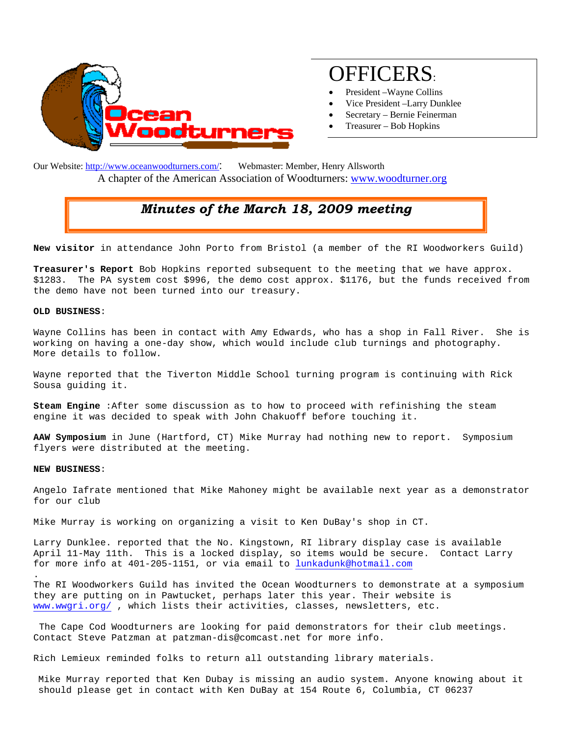

# OFFICERS:

- President –Wayne Collins
- Vice President –Larry Dunklee
- Secretary Bernie Feinerman
- Treasurer Bob Hopkins

Our Website: http://www.oceanwoodturners.com/: Webmaster: Member, Henry Allsworth A chapter of the American Association of Woodturners: www.woodturner.org

## *Minutes of the March 18, 2009 meeting*

**New visitor** in attendance John Porto from Bristol (a member of the RI Woodworkers Guild)

**Treasurer's Report** Bob Hopkins reported subsequent to the meeting that we have approx. \$1283. The PA system cost \$996, the demo cost approx. \$1176, but the funds received from the demo have not been turned into our treasury.

#### **OLD BUSINESS**:

Wayne Collins has been in contact with Amy Edwards, who has a shop in Fall River. She is working on having a one-day show, which would include club turnings and photography. More details to follow.

Wayne reported that the Tiverton Middle School turning program is continuing with Rick Sousa guiding it.

**Steam Engine** :After some discussion as to how to proceed with refinishing the steam engine it was decided to speak with John Chakuoff before touching it.

**AAW Symposium** in June (Hartford, CT) Mike Murray had nothing new to report. Symposium flyers were distributed at the meeting.

#### **NEW BUSINESS**:

.

Angelo Iafrate mentioned that Mike Mahoney might be available next year as a demonstrator for our club

Mike Murray is working on organizing a visit to Ken DuBay's shop in CT.

Larry Dunklee. reported that the No. Kingstown, RI library display case is available April 11-May 11th. This is a locked display, so items would be secure. Contact Larry for more info at 401-205-1151, or via email to lunkadunk@hotmail.com

The RI Woodworkers Guild has invited the Ocean Woodturners to demonstrate at a symposium they are putting on in Pawtucket, perhaps later this year. Their website is www.wwgri.org/ , which lists their activities, classes, newsletters, etc.

 The Cape Cod Woodturners are looking for paid demonstrators for their club meetings. Contact Steve Patzman at patzman-dis@comcast.net for more info.

Rich Lemieux reminded folks to return all outstanding library materials.

Mike Murray reported that Ken Dubay is missing an audio system. Anyone knowing about it should please get in contact with Ken DuBay at 154 Route 6, Columbia, CT 06237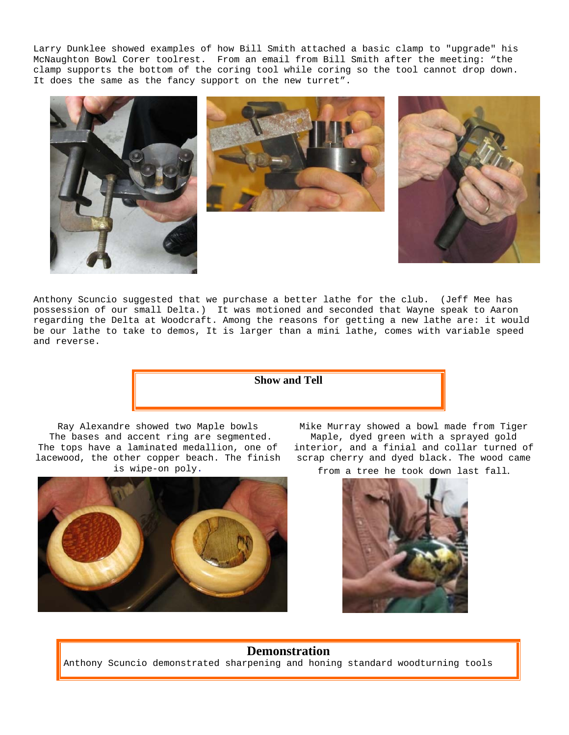Larry Dunklee showed examples of how Bill Smith attached a basic clamp to "upgrade" his McNaughton Bowl Corer toolrest. From an email from Bill Smith after the meeting: "the clamp supports the bottom of the coring tool while coring so the tool cannot drop down. It does the same as the fancy support on the new turret".







Anthony Scuncio suggested that we purchase a better lathe for the club. (Jeff Mee has possession of our small Delta.) It was motioned and seconded that Wayne speak to Aaron regarding the Delta at Woodcraft. Among the reasons for getting a new lathe are: it would be our lathe to take to demos, It is larger than a mini lathe, comes with variable speed and reverse.

**Show and Tell** 

Ray Alexandre showed two Maple bowls The bases and accent ring are segmented. The tops have a laminated medallion, one of lacewood, the other copper beach. The finish is wipe-on poly.



Mike Murray showed a bowl made from Tiger Maple, dyed green with a sprayed gold interior, and a finial and collar turned of scrap cherry and dyed black. The wood came

from a tree he took down last fall.



### **Demonstration**

Anthony Scuncio demonstrated sharpening and honing standard woodturning tools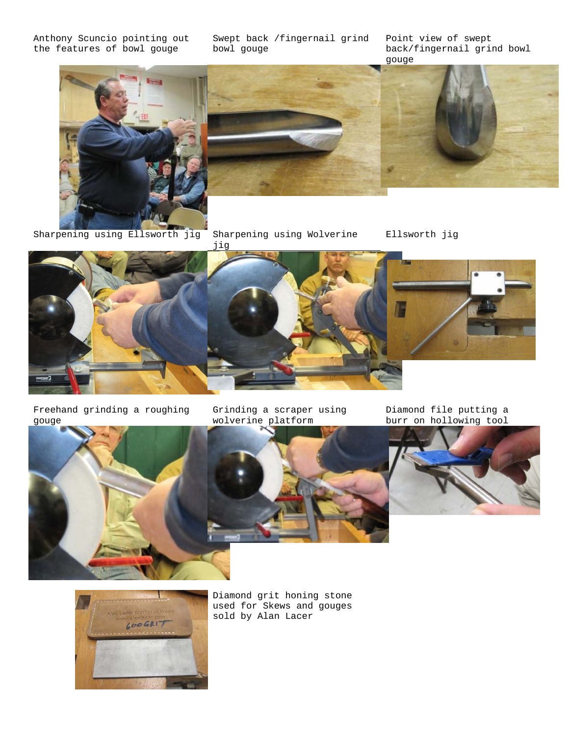Anthony Scuncio pointing out the features of bowl gouge

Swept back /fingernail grind bowl gouge

Point view of swept back/fingernail grind bowl gouge



Sharpening using Ellsworth jig Sharpening using Wolverine

jig

Ellsworth jig



Freehand grinding a roughing gouge

Grinding a scraper using wolverine platform

Diamond file putting a burr on hollowing tool







 Diamond grit honing stone used for Skews and gouges sold by Alan Lacer